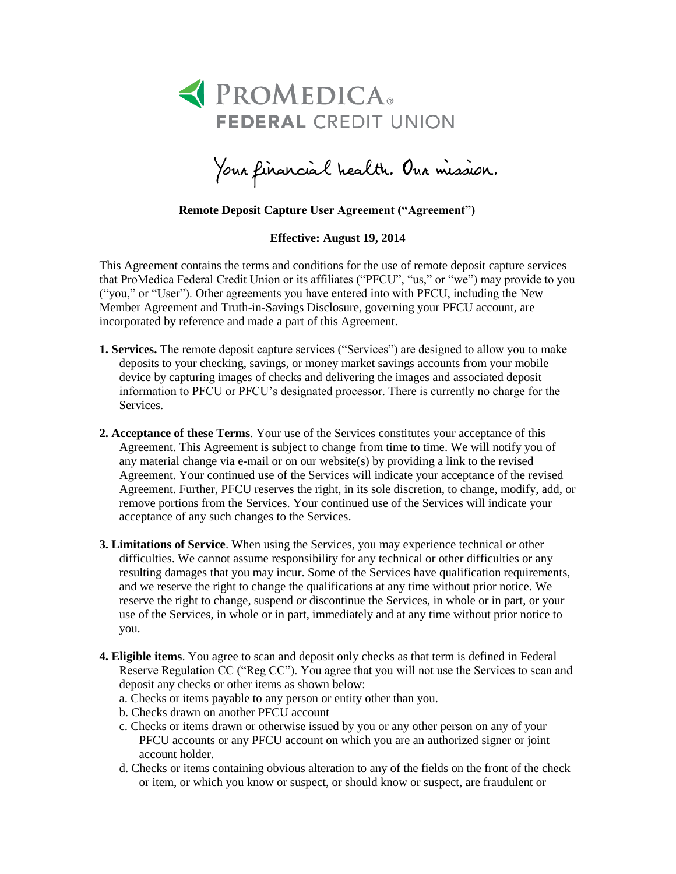

Your financial health. Our mission.

## **Remote Deposit Capture User Agreement ("Agreement")**

**Effective: August 19, 2014**

This Agreement contains the terms and conditions for the use of remote deposit capture services that ProMedica Federal Credit Union or its affiliates ("PFCU", "us," or "we") may provide to you ("you," or "User"). Other agreements you have entered into with PFCU, including the New Member Agreement and Truth-in-Savings Disclosure, governing your PFCU account, are incorporated by reference and made a part of this Agreement.

- **1. Services.** The remote deposit capture services ("Services") are designed to allow you to make deposits to your checking, savings, or money market savings accounts from your mobile device by capturing images of checks and delivering the images and associated deposit information to PFCU or PFCU's designated processor. There is currently no charge for the Services.
- **2. Acceptance of these Terms**. Your use of the Services constitutes your acceptance of this Agreement. This Agreement is subject to change from time to time. We will notify you of any material change via e-mail or on our website(s) by providing a link to the revised Agreement. Your continued use of the Services will indicate your acceptance of the revised Agreement. Further, PFCU reserves the right, in its sole discretion, to change, modify, add, or remove portions from the Services. Your continued use of the Services will indicate your acceptance of any such changes to the Services.
- **3. Limitations of Service**. When using the Services, you may experience technical or other difficulties. We cannot assume responsibility for any technical or other difficulties or any resulting damages that you may incur. Some of the Services have qualification requirements, and we reserve the right to change the qualifications at any time without prior notice. We reserve the right to change, suspend or discontinue the Services, in whole or in part, or your use of the Services, in whole or in part, immediately and at any time without prior notice to you.
- **4. Eligible items**. You agree to scan and deposit only checks as that term is defined in Federal Reserve Regulation CC ("Reg CC"). You agree that you will not use the Services to scan and deposit any checks or other items as shown below:
	- a. Checks or items payable to any person or entity other than you.
	- b. Checks drawn on another PFCU account
	- c. Checks or items drawn or otherwise issued by you or any other person on any of your PFCU accounts or any PFCU account on which you are an authorized signer or joint account holder.
	- d. Checks or items containing obvious alteration to any of the fields on the front of the check or item, or which you know or suspect, or should know or suspect, are fraudulent or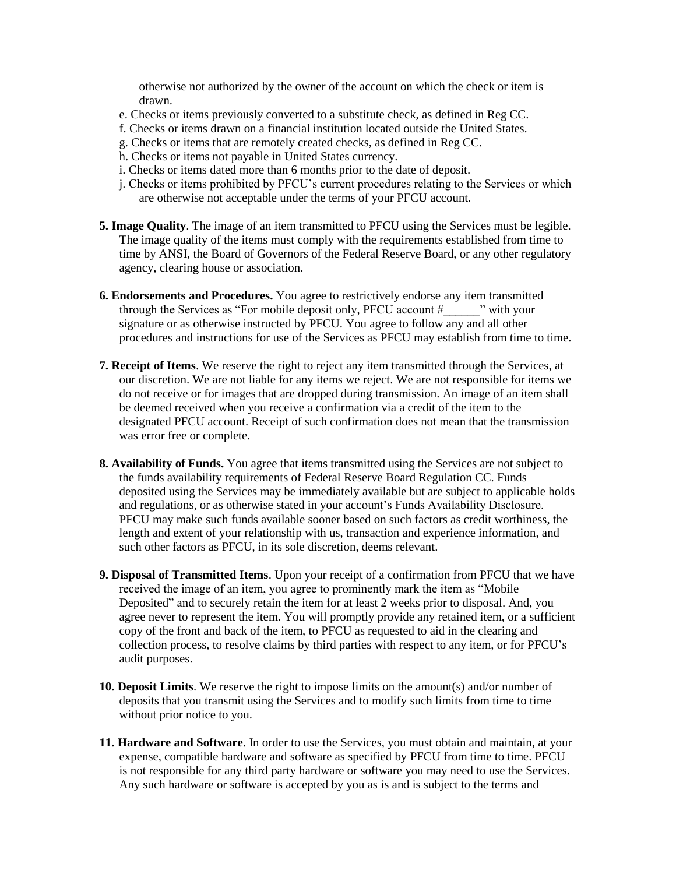otherwise not authorized by the owner of the account on which the check or item is drawn.

- e. Checks or items previously converted to a substitute check, as defined in Reg CC.
- f. Checks or items drawn on a financial institution located outside the United States.
- g. Checks or items that are remotely created checks, as defined in Reg CC.
- h. Checks or items not payable in United States currency.
- i. Checks or items dated more than 6 months prior to the date of deposit.
- j. Checks or items prohibited by PFCU's current procedures relating to the Services or which are otherwise not acceptable under the terms of your PFCU account.
- **5. Image Quality**. The image of an item transmitted to PFCU using the Services must be legible. The image quality of the items must comply with the requirements established from time to time by ANSI, the Board of Governors of the Federal Reserve Board, or any other regulatory agency, clearing house or association.
- **6. Endorsements and Procedures.** You agree to restrictively endorse any item transmitted through the Services as "For mobile deposit only, PFCU account # with your signature or as otherwise instructed by PFCU. You agree to follow any and all other procedures and instructions for use of the Services as PFCU may establish from time to time.
- **7. Receipt of Items**. We reserve the right to reject any item transmitted through the Services, at our discretion. We are not liable for any items we reject. We are not responsible for items we do not receive or for images that are dropped during transmission. An image of an item shall be deemed received when you receive a confirmation via a credit of the item to the designated PFCU account. Receipt of such confirmation does not mean that the transmission was error free or complete.
- **8. Availability of Funds.** You agree that items transmitted using the Services are not subject to the funds availability requirements of Federal Reserve Board Regulation CC. Funds deposited using the Services may be immediately available but are subject to applicable holds and regulations, or as otherwise stated in your account's Funds Availability Disclosure. PFCU may make such funds available sooner based on such factors as credit worthiness, the length and extent of your relationship with us, transaction and experience information, and such other factors as PFCU, in its sole discretion, deems relevant.
- **9. Disposal of Transmitted Items**. Upon your receipt of a confirmation from PFCU that we have received the image of an item, you agree to prominently mark the item as "Mobile Deposited" and to securely retain the item for at least 2 weeks prior to disposal. And, you agree never to represent the item. You will promptly provide any retained item, or a sufficient copy of the front and back of the item, to PFCU as requested to aid in the clearing and collection process, to resolve claims by third parties with respect to any item, or for PFCU's audit purposes.
- **10. Deposit Limits**. We reserve the right to impose limits on the amount(s) and/or number of deposits that you transmit using the Services and to modify such limits from time to time without prior notice to you.
- **11. Hardware and Software**. In order to use the Services, you must obtain and maintain, at your expense, compatible hardware and software as specified by PFCU from time to time. PFCU is not responsible for any third party hardware or software you may need to use the Services. Any such hardware or software is accepted by you as is and is subject to the terms and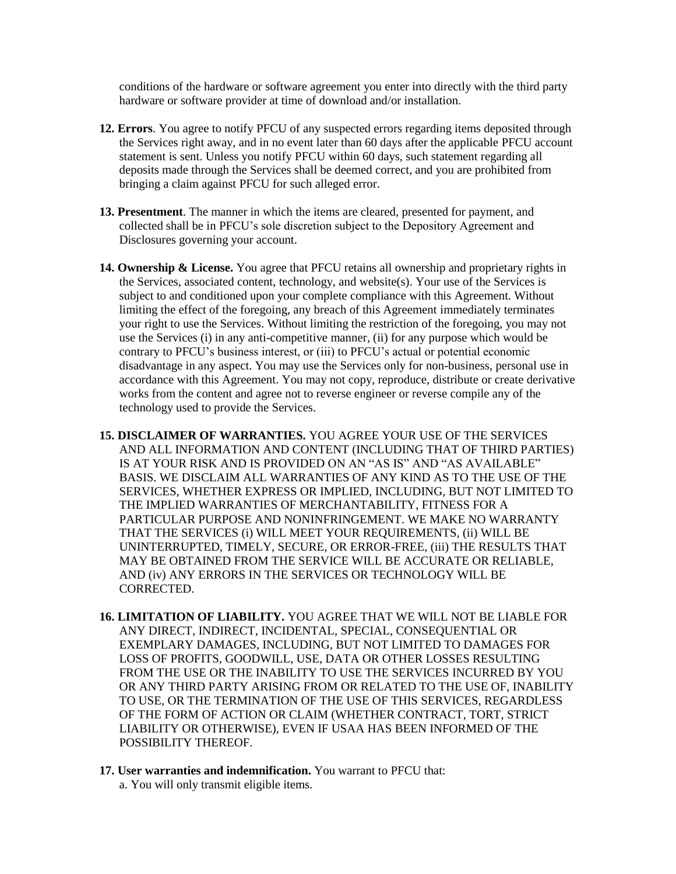conditions of the hardware or software agreement you enter into directly with the third party hardware or software provider at time of download and/or installation.

- **12. Errors**. You agree to notify PFCU of any suspected errors regarding items deposited through the Services right away, and in no event later than 60 days after the applicable PFCU account statement is sent. Unless you notify PFCU within 60 days, such statement regarding all deposits made through the Services shall be deemed correct, and you are prohibited from bringing a claim against PFCU for such alleged error.
- **13. Presentment**. The manner in which the items are cleared, presented for payment, and collected shall be in PFCU's sole discretion subject to the Depository Agreement and Disclosures governing your account.
- **14. Ownership & License.** You agree that PFCU retains all ownership and proprietary rights in the Services, associated content, technology, and website(s). Your use of the Services is subject to and conditioned upon your complete compliance with this Agreement. Without limiting the effect of the foregoing, any breach of this Agreement immediately terminates your right to use the Services. Without limiting the restriction of the foregoing, you may not use the Services (i) in any anti-competitive manner, (ii) for any purpose which would be contrary to PFCU's business interest, or (iii) to PFCU's actual or potential economic disadvantage in any aspect. You may use the Services only for non-business, personal use in accordance with this Agreement. You may not copy, reproduce, distribute or create derivative works from the content and agree not to reverse engineer or reverse compile any of the technology used to provide the Services.
- **15. DISCLAIMER OF WARRANTIES.** YOU AGREE YOUR USE OF THE SERVICES AND ALL INFORMATION AND CONTENT (INCLUDING THAT OF THIRD PARTIES) IS AT YOUR RISK AND IS PROVIDED ON AN "AS IS" AND "AS AVAILABLE" BASIS. WE DISCLAIM ALL WARRANTIES OF ANY KIND AS TO THE USE OF THE SERVICES, WHETHER EXPRESS OR IMPLIED, INCLUDING, BUT NOT LIMITED TO THE IMPLIED WARRANTIES OF MERCHANTABILITY, FITNESS FOR A PARTICULAR PURPOSE AND NONINFRINGEMENT. WE MAKE NO WARRANTY THAT THE SERVICES (i) WILL MEET YOUR REQUIREMENTS, (ii) WILL BE UNINTERRUPTED, TIMELY, SECURE, OR ERROR-FREE, (iii) THE RESULTS THAT MAY BE OBTAINED FROM THE SERVICE WILL BE ACCURATE OR RELIABLE, AND (iv) ANY ERRORS IN THE SERVICES OR TECHNOLOGY WILL BE CORRECTED.
- **16. LIMITATION OF LIABILITY.** YOU AGREE THAT WE WILL NOT BE LIABLE FOR ANY DIRECT, INDIRECT, INCIDENTAL, SPECIAL, CONSEQUENTIAL OR EXEMPLARY DAMAGES, INCLUDING, BUT NOT LIMITED TO DAMAGES FOR LOSS OF PROFITS, GOODWILL, USE, DATA OR OTHER LOSSES RESULTING FROM THE USE OR THE INABILITY TO USE THE SERVICES INCURRED BY YOU OR ANY THIRD PARTY ARISING FROM OR RELATED TO THE USE OF, INABILITY TO USE, OR THE TERMINATION OF THE USE OF THIS SERVICES, REGARDLESS OF THE FORM OF ACTION OR CLAIM (WHETHER CONTRACT, TORT, STRICT LIABILITY OR OTHERWISE), EVEN IF USAA HAS BEEN INFORMED OF THE POSSIBILITY THEREOF.
- **17. User warranties and indemnification.** You warrant to PFCU that: a. You will only transmit eligible items.